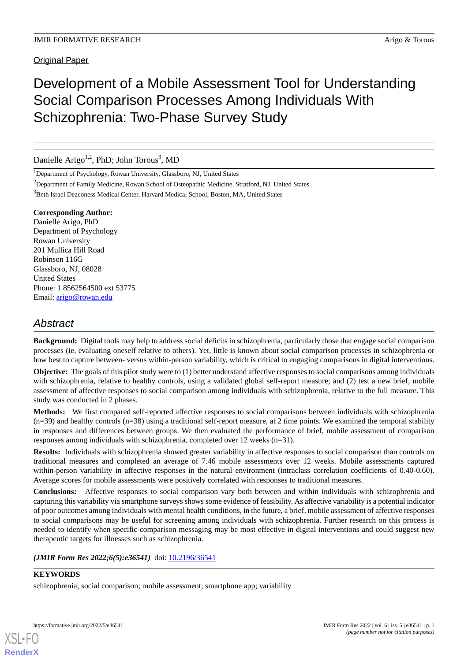# Development of a Mobile Assessment Tool for Understanding Social Comparison Processes Among Individuals With Schizophrenia: Two-Phase Survey Study

Danielle Arigo<sup>1,2</sup>, PhD; John Torous<sup>3</sup>, MD

<sup>1</sup>Department of Psychology, Rowan University, Glassboro, NJ, United States

<sup>2</sup>Department of Family Medicine, Rowan School of Osteopathic Medicine, Stratford, NJ, United States

<sup>3</sup>Beth Israel Deaconess Medical Center, Harvard Medical School, Boston, MA, United States

# **Corresponding Author:**

Danielle Arigo, PhD Department of Psychology Rowan University 201 Mullica Hill Road Robinson 116G Glassboro, NJ, 08028 United States Phone: 1 8562564500 ext 53775 Email: [arigo@rowan.edu](mailto:arigo@rowan.edu)

# *Abstract*

**Background:** Digital tools may help to address social deficits in schizophrenia, particularly those that engage social comparison processes (ie, evaluating oneself relative to others). Yet, little is known about social comparison processes in schizophrenia or how best to capture between- versus within-person variability, which is critical to engaging comparisons in digital interventions.

**Objective:** The goals of this pilot study were to (1) better understand affective responses to social comparisons among individuals with schizophrenia, relative to healthy controls, using a validated global self-report measure; and (2) test a new brief, mobile assessment of affective responses to social comparison among individuals with schizophrenia, relative to the full measure. This study was conducted in 2 phases.

**Methods:** We first compared self-reported affective responses to social comparisons between individuals with schizophrenia  $(n=39)$  and healthy controls  $(n=38)$  using a traditional self-report measure, at 2 time points. We examined the temporal stability in responses and differences between groups. We then evaluated the performance of brief, mobile assessment of comparison responses among individuals with schizophrenia, completed over 12 weeks (n=31).

**Results:** Individuals with schizophrenia showed greater variability in affective responses to social comparison than controls on traditional measures and completed an average of 7.46 mobile assessments over 12 weeks. Mobile assessments captured within-person variability in affective responses in the natural environment (intraclass correlation coefficients of 0.40-0.60). Average scores for mobile assessments were positively correlated with responses to traditional measures.

**Conclusions:** Affective responses to social comparison vary both between and within individuals with schizophrenia and capturing this variability via smartphone surveys shows some evidence of feasibility. As affective variability is a potential indicator of poor outcomes among individuals with mental health conditions, in the future, a brief, mobile assessment of affective responses to social comparisons may be useful for screening among individuals with schizophrenia. Further research on this process is needed to identify when specific comparison messaging may be most effective in digital interventions and could suggest new therapeutic targets for illnesses such as schizophrenia.

*(JMIR Form Res 2022;6(5):e36541)* doi:  $10.2196/36541$ 

## **KEYWORDS**

schizophrenia; social comparison; mobile assessment; smartphone app; variability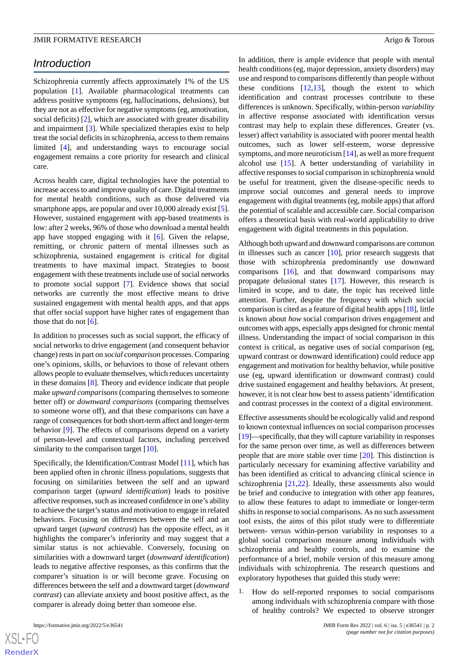# *Introduction*

Schizophrenia currently affects approximately 1% of the US population [\[1](#page-6-0)]. Available pharmacological treatments can address positive symptoms (eg, hallucinations, delusions), but they are not as effective for negative symptoms (eg, amotivation, social deficits) [\[2](#page-6-1)], which are associated with greater disability and impairment [[3\]](#page-6-2). While specialized therapies exist to help treat the social deficits in schizophrenia, access to them remains limited [\[4](#page-7-0)], and understanding ways to encourage social engagement remains a core priority for research and clinical care.

Across health care, digital technologies have the potential to increase access to and improve quality of care. Digital treatments for mental health conditions, such as those delivered via smartphone apps, are popular and over 10,000 already exist [[5\]](#page-7-1). However, sustained engagement with app-based treatments is low: after 2 weeks, 96% of those who download a mental health app have stopped engaging with it  $[6]$  $[6]$ . Given the relapse, remitting, or chronic pattern of mental illnesses such as schizophrenia, sustained engagement is critical for digital treatments to have maximal impact. Strategies to boost engagement with these treatments include use of social networks to promote social support [\[7](#page-7-3)]. Evidence shows that social networks are currently the most effective means to drive sustained engagement with mental health apps, and that apps that offer social support have higher rates of engagement than those that do not  $[6]$  $[6]$ .

In addition to processes such as social support, the efficacy of social networks to drive engagement (and consequent behavior change) rests in part on *social comparison* processes. Comparing one's opinions, skills, or behaviors to those of relevant others allows people to evaluate themselves, which reduces uncertainty in these domains [\[8](#page-7-4)]. Theory and evidence indicate that people make *upward comparisons* (comparing themselves to someone better off) or *downward comparisons* (comparing themselves to someone worse off), and that these comparisons can have a range of consequences for both short-term affect and longer-term behavior [[9\]](#page-7-5). The effects of comparisons depend on a variety of person-level and contextual factors, including perceived similarity to the comparison target [[10\]](#page-7-6).

Specifically, the Identification/Contrast Model [\[11](#page-7-7)], which has been applied often in chronic illness populations, suggests that focusing on similarities between the self and an upward comparison target (*upward identification*) leads to positive affective responses, such as increased confidence in one's ability to achieve the target's status and motivation to engage in related behaviors. Focusing on differences between the self and an upward target (*upward contrast*) has the opposite effect, as it highlights the comparer's inferiority and may suggest that a similar status is not achievable. Conversely, focusing on similarities with a downward target (*downward identification*) leads to negative affective responses, as this confirms that the comparer's situation is or will become grave. Focusing on differences between the self and a downward target (*downward contrast*) can alleviate anxiety and boost positive affect, as the comparer is already doing better than someone else.

In addition, there is ample evidence that people with mental health conditions (eg, major depression, anxiety disorders) may use and respond to comparisons differently than people without these conditions  $[12,13]$  $[12,13]$  $[12,13]$  $[12,13]$ , though the extent to which identification and contrast processes contribute to these differences is unknown. Specifically, within-person *variability* in affective response associated with identification versus contrast may help to explain these differences. Greater (vs. lesser) affect variability is associated with poorer mental health outcomes, such as lower self-esteem, worse depressive symptoms, and more neuroticism [\[14](#page-7-10)], as well as more frequent alcohol use [[15\]](#page-7-11). A better understanding of variability in affective responses to social comparison in schizophrenia would be useful for treatment, given the disease-specific needs to improve social outcomes and general needs to improve engagement with digital treatments (eg, mobile apps) that afford the potential of scalable and accessible care. Social comparison offers a theoretical basis with real-world applicability to drive engagement with digital treatments in this population.

Although both upward and downward comparisons are common in illnesses such as cancer [\[10](#page-7-6)], prior research suggests that those with schizophrenia predominantly use downward comparisons [\[16](#page-7-12)], and that downward comparisons may propagate delusional states [[17\]](#page-7-13). However, this research is limited in scope, and to date, the topic has received little attention. Further, despite the frequency with which social comparison is cited as a feature of digital health apps [[18\]](#page-7-14), little is known about *how* social comparison drives engagement and outcomes with apps, especially apps designed for chronic mental illness. Understanding the impact of social comparison in this context is critical, as negative uses of social comparison (eg, upward contrast or downward identification) could reduce app engagement and motivation for healthy behavior, while positive use (eg, upward identification or downward contrast) could drive sustained engagement and healthy behaviors. At present, however, it is not clear how best to assess patients'identification and contrast processes in the context of a digital environment.

Effective assessments should be ecologically valid and respond to known contextual influences on social comparison processes [[19\]](#page-7-15)—specifically, that they will capture variability in responses for the same person over time, as well as differences between people that are more stable over time [\[20](#page-7-16)]. This distinction is particularly necessary for examining affective variability and has been identified as critical to advancing clinical science in schizophrenia [\[21](#page-7-17),[22\]](#page-7-18). Ideally, these assessments also would be brief and conducive to integration with other app features, to allow these features to adapt to immediate or longer-term shifts in response to social comparisons. As no such assessment tool exists, the aims of this pilot study were to differentiate between- versus within-person variability in responses to a global social comparison measure among individuals with schizophrenia and healthy controls, and to examine the performance of a brief, mobile version of this measure among individuals with schizophrenia. The research questions and exploratory hypotheses that guided this study were:

1. How do self-reported responses to social comparisons among individuals with schizophrenia compare with those of healthy controls? We expected to observe stronger

 $XS$  $\cdot$ FC **[RenderX](http://www.renderx.com/)**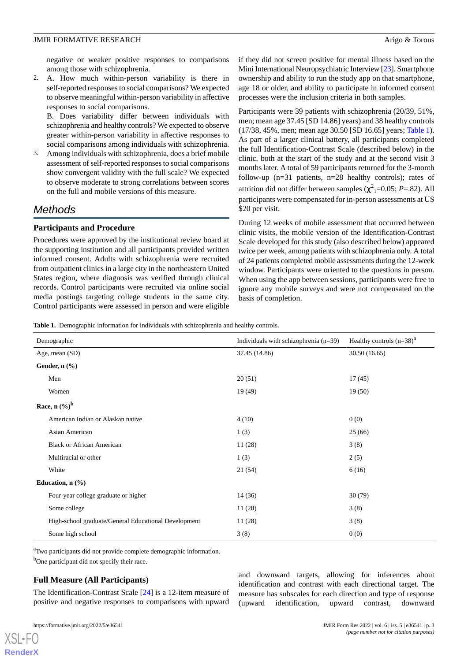negative or weaker positive responses to comparisons among those with schizophrenia.

2. A. How much within-person variability is there in self-reported responses to social comparisons? We expected to observe meaningful within-person variability in affective responses to social comparisons.

B. Does variability differ between individuals with schizophrenia and healthy controls? We expected to observe greater within-person variability in affective responses to social comparisons among individuals with schizophrenia.

3. Among individuals with schizophrenia, does a brief mobile assessment of self-reported responses to social comparisons show convergent validity with the full scale? We expected to observe moderate to strong correlations between scores on the full and mobile versions of this measure.

# *Methods*

# **Participants and Procedure**

Procedures were approved by the institutional review board at the supporting institution and all participants provided written informed consent. Adults with schizophrenia were recruited from outpatient clinics in a large city in the northeastern United States region, where diagnosis was verified through clinical records. Control participants were recruited via online social media postings targeting college students in the same city. Control participants were assessed in person and were eligible if they did not screen positive for mental illness based on the Mini International Neuropsychiatric Interview [\[23\]](#page-7-19). Smartphone ownership and ability to run the study app on that smartphone, age 18 or older, and ability to participate in informed consent processes were the inclusion criteria in both samples.

Participants were 39 patients with schizophrenia (20/39, 51%, men; mean age 37.45 [SD 14.86] years) and 38 healthy controls (17/38, 45%, men; mean age 30.50 [SD 16.65] years; [Table 1\)](#page-2-0). As part of a larger clinical battery, all participants completed the full Identification-Contrast Scale (described below) in the clinic, both at the start of the study and at the second visit 3 months later. A total of 59 participants returned for the 3-month follow-up (n=31 patients, n=28 healthy controls); rates of attrition did not differ between samples ( $\chi^2$ <sub>1</sub>=0.05; *P*=.82). All participants were compensated for in-person assessments at US \$20 per visit.

During 12 weeks of mobile assessment that occurred between clinic visits, the mobile version of the Identification-Contrast Scale developed for this study (also described below) appeared twice per week, among patients with schizophrenia only. A total of 24 patients completed mobile assessments during the 12-week window. Participants were oriented to the questions in person. When using the app between sessions, participants were free to ignore any mobile surveys and were not compensated on the basis of completion.

<span id="page-2-0"></span>**Table 1.** Demographic information for individuals with schizophrenia and healthy controls.

| Demographic                                          | Individuals with schizophrenia $(n=39)$ | Healthy controls $(n=38)^{a}$ |
|------------------------------------------------------|-----------------------------------------|-------------------------------|
| Age, mean (SD)                                       | 37.45 (14.86)                           | 30.50(16.65)                  |
| Gender, $n$ $(\%)$                                   |                                         |                               |
| Men                                                  | 20(51)                                  | 17(45)                        |
| Women                                                | 19(49)                                  | 19(50)                        |
| Race, n $(\%)^b$                                     |                                         |                               |
| American Indian or Alaskan native                    | 4(10)                                   | 0(0)                          |
| Asian American                                       | 1(3)                                    | 25(66)                        |
| <b>Black or African American</b>                     | 11(28)                                  | 3(8)                          |
| Multiracial or other                                 | 1(3)                                    | 2(5)                          |
| White                                                | 21(54)                                  | 6(16)                         |
| Education, $n$ $(\%)$                                |                                         |                               |
| Four-year college graduate or higher                 | 14(36)                                  | 30(79)                        |
| Some college                                         | 11(28)                                  | 3(8)                          |
| High-school graduate/General Educational Development | 11(28)                                  | 3(8)                          |
| Some high school                                     | 3(8)                                    | 0(0)                          |

<sup>a</sup>Two participants did not provide complete demographic information. <sup>b</sup>One participant did not specify their race.

# **Full Measure (All Participants)**

The Identification-Contrast Scale [[24\]](#page-7-20) is a 12-item measure of positive and negative responses to comparisons with upward

[XSL](http://www.w3.org/Style/XSL)•FO **[RenderX](http://www.renderx.com/)**

and downward targets, allowing for inferences about identification and contrast with each directional target. The measure has subscales for each direction and type of response (upward identification, upward contrast, downward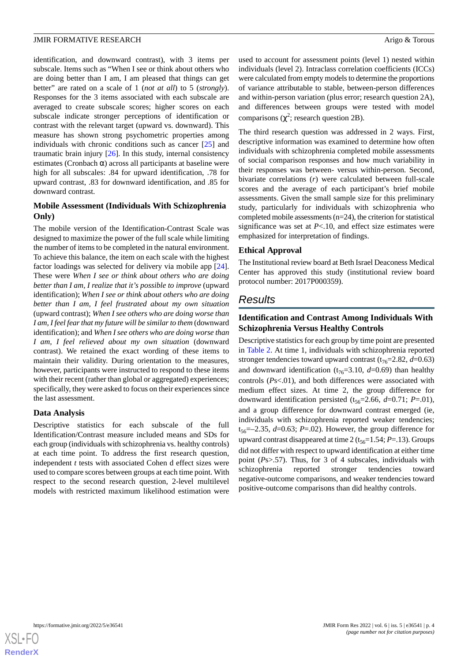identification, and downward contrast), with 3 items per subscale. Items such as "When I see or think about others who are doing better than I am, I am pleased that things can get better" are rated on a scale of 1 (*not at all*) to 5 (*strongly*). Responses for the 3 items associated with each subscale are averaged to create subscale scores; higher scores on each subscale indicate stronger perceptions of identification or contrast with the relevant target (upward vs. downward). This measure has shown strong psychometric properties among individuals with chronic conditions such as cancer [[25\]](#page-7-21) and traumatic brain injury  $[26]$  $[26]$ . In this study, internal consistency estimates (Cronbach  $\alpha$ ) across all participants at baseline were high for all subscales: .84 for upward identification, .78 for upward contrast, .83 for downward identification, and .85 for downward contrast.

# **Mobile Assessment (Individuals With Schizophrenia Only)**

The mobile version of the Identification-Contrast Scale was designed to maximize the power of the full scale while limiting the number of items to be completed in the natural environment. To achieve this balance, the item on each scale with the highest factor loadings was selected for delivery via mobile app [[24\]](#page-7-20). These were *When I see or think about others who are doing better than I am, I realize that it's possible to improve* (upward identification); *When I see or think about others who are doing better than I am, I feel frustrated about my own situation* (upward contrast); *When I see others who are doing worse than I am, I feel fear that my future will be similar to them* (downward identification); and *When I see others who are doing worse than I am, I feel relieved about my own situation* (downward contrast). We retained the exact wording of these items to maintain their validity. During orientation to the measures, however, participants were instructed to respond to these items with their recent (rather than global or aggregated) experiences; specifically, they were asked to focus on their experiences since the last assessment.

#### **Data Analysis**

Descriptive statistics for each subscale of the full Identification/Contrast measure included means and SDs for each group (individuals with schizophrenia vs. healthy controls) at each time point. To address the first research question, independent *t* tests with associated Cohen d effect sizes were used to compare scores between groups at each time point. With respect to the second research question, 2-level multilevel models with restricted maximum likelihood estimation were

used to account for assessment points (level 1) nested within individuals (level 2). Intraclass correlation coefficients (ICCs) were calculated from empty models to determine the proportions of variance attributable to stable, between-person differences and within-person variation (plus error; research question 2A), and differences between groups were tested with model comparisons ( $\chi^2$ ; research question 2B).

The third research question was addressed in 2 ways. First, descriptive information was examined to determine how often individuals with schizophrenia completed mobile assessments of social comparison responses and how much variability in their responses was between- versus within-person. Second, bivariate correlations (*r*) were calculated between full-scale scores and the average of each participant's brief mobile assessments. Given the small sample size for this preliminary study, particularly for individuals with schizophrenia who completed mobile assessments (n=24), the criterion for statistical significance was set at  $P<.10$ , and effect size estimates were emphasized for interpretation of findings.

#### **Ethical Approval**

The Institutional review board at Beth Israel Deaconess Medical Center has approved this study (institutional review board protocol number: 2017P000359).

# *Results*

# **Identification and Contrast Among Individuals With Schizophrenia Versus Healthy Controls**

Descriptive statistics for each group by time point are presented in [Table 2](#page-4-0). At time 1, individuals with schizophrenia reported stronger tendencies toward upward contrast ( $t_{76}=2.82$ ,  $d=0.63$ ) and downward identification ( $t_{76}$ =3.10,  $d$ =0.69) than healthy controls (*P*s<.01), and both differences were associated with medium effect sizes. At time 2, the group difference for downward identification persisted  $(t_{56}=2.66, d=0.71; P=.01)$ , and a group difference for downward contrast emerged (ie, individuals with schizophrenia reported weaker tendencies;  $t_{56}$ =–2.35, *d*=0.63; *P*=.02). However, the group difference for upward contrast disappeared at time 2 (t<sub>56</sub>=1.54; *P*=.13). Groups did not differ with respect to upward identification at either time point (*P*s>.57). Thus, for 3 of 4 subscales, individuals with schizophrenia reported stronger tendencies toward negative-outcome comparisons, and weaker tendencies toward positive-outcome comparisons than did healthy controls.

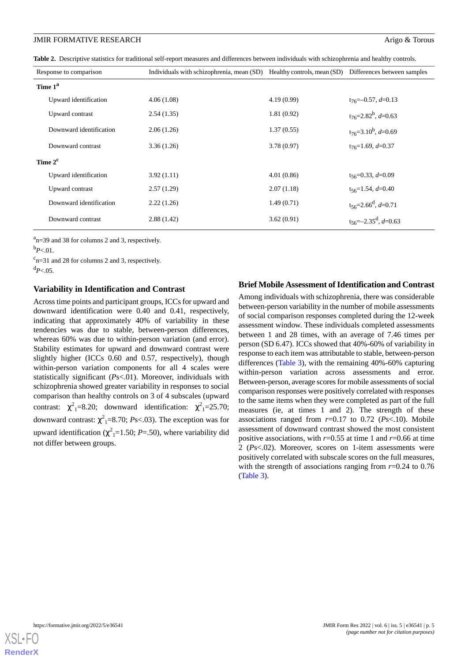<span id="page-4-0"></span>**Table 2.** Descriptive statistics for traditional self-report measures and differences between individuals with schizophrenia and healthy controls.

| Response to comparison  | Individuals with schizophrenia, mean (SD) |            | Healthy controls, mean (SD) Differences between samples |
|-------------------------|-------------------------------------------|------------|---------------------------------------------------------|
| Time 1 <sup>a</sup>     |                                           |            |                                                         |
| Upward identification   | 4.06(1.08)                                | 4.19(0.99) | $t_{76} = -0.57, d = 0.13$                              |
| Upward contrast         | 2.54(1.35)                                | 1.81(0.92) | $t_{76} = 2.82^b$ , d=0.63                              |
| Downward identification | 2.06(1.26)                                | 1.37(0.55) | $t_{76} = 3.10^b$ , d=0.69                              |
| Downward contrast       | 3.36(1.26)                                | 3.78(0.97) | $t_{76}$ =1.69, $d$ =0.37                               |
| Time $2^{\rm c}$        |                                           |            |                                                         |
| Upward identification   | 3.92(1.11)                                | 4.01(0.86) | $t_{56} = 0.33, d = 0.09$                               |
| Upward contrast         | 2.57(1.29)                                | 2.07(1.18) | $t_{56}=1.54, d=0.40$                                   |
| Downward identification | 2.22(1.26)                                | 1.49(0.71) | $t_{56} = 2.66^d, d = 0.71$                             |
| Downward contrast       | 2.88(1.42)                                | 3.62(0.91) | $t_{56} = -2.35^d, d = 0.63$                            |

 $a_{n=39}$  and 38 for columns 2 and 3, respectively.

 $c_{n=31}$  and 28 for columns 2 and 3, respectively.  $d_{P<.05}$ .

# **Variability in Identification and Contrast**

Across time points and participant groups, ICCs for upward and downward identification were 0.40 and 0.41, respectively, indicating that approximately 40% of variability in these tendencies was due to stable, between-person differences, whereas 60% was due to within-person variation (and error). Stability estimates for upward and downward contrast were slightly higher (ICCs 0.60 and 0.57, respectively), though within-person variation components for all 4 scales were statistically significant (*P*s<.01). Moreover, individuals with schizophrenia showed greater variability in responses to social comparison than healthy controls on 3 of 4 subscales (upward contrast:  $\chi^2$ <sub>1</sub>=8.20; downward identification:  $\chi^2$ <sub>1</sub>=25.70; downward contrast:  $\chi^2$ <sub>1</sub>=8.70; *Ps*<.03). The exception was for upward identification  $(\chi^2_{1} = 1.50; P = .50)$ , where variability did not differ between groups.

# **Brief Mobile Assessment of Identification and Contrast**

Among individuals with schizophrenia, there was considerable between-person variability in the number of mobile assessments of social comparison responses completed during the 12-week assessment window. These individuals completed assessments between 1 and 28 times, with an average of 7.46 times per person (SD 6.47). ICCs showed that 40%-60% of variability in response to each item was attributable to stable, between-person differences [\(Table 3\)](#page-5-0), with the remaining 40%-60% capturing within-person variation across assessments and error. Between-person, average scores for mobile assessments of social comparison responses were positively correlated with responses to the same items when they were completed as part of the full measures (ie, at times 1 and 2). The strength of these associations ranged from *r*=0.17 to 0.72 (*P*s<.10). Mobile assessment of downward contrast showed the most consistent positive associations, with  $r=0.55$  at time 1 and  $r=0.66$  at time 2 (*P*s<.02). Moreover, scores on 1-item assessments were positively correlated with subscale scores on the full measures, with the strength of associations ranging from  $r=0.24$  to 0.76 ([Table 3](#page-5-0)).



 $b_{P<.01}$ .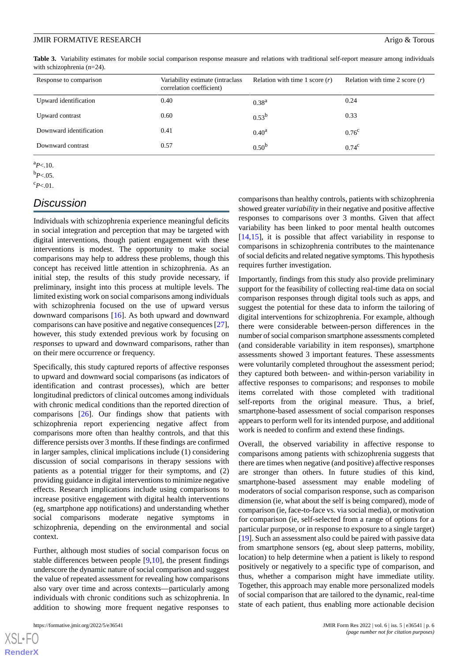<span id="page-5-0"></span>**Table 3.** Variability estimates for mobile social comparison response measure and relations with traditional self-report measure among individuals with schizophrenia (n=24).

| Response to comparison  | Variability estimate (intraclass<br>correlation coefficient) | Relation with time 1 score $(r)$ | Relation with time 2 score $(r)$ |
|-------------------------|--------------------------------------------------------------|----------------------------------|----------------------------------|
| Upward identification   | 0.40                                                         | 0.38 <sup>a</sup>                | 0.24                             |
| Upward contrast         | 0.60                                                         | $0.53^{b}$                       | 0.33                             |
| Downward identification | 0.41                                                         | 0.40 <sup>a</sup>                | $0.76^{\circ}$                   |
| Downward contrast       | 0.57                                                         | 0.50 <sup>b</sup>                | $0.74^{\circ}$                   |

<sup>a</sup>*P*<.10.

 $b_{P<.05}$ .

 $c_{P<.01}$ .

# *Discussion*

Individuals with schizophrenia experience meaningful deficits in social integration and perception that may be targeted with digital interventions, though patient engagement with these interventions is modest. The opportunity to make social comparisons may help to address these problems, though this concept has received little attention in schizophrenia. As an initial step, the results of this study provide necessary, if preliminary, insight into this process at multiple levels. The limited existing work on social comparisons among individuals with schizophrenia focused on the use of upward versus downward comparisons [[16\]](#page-7-12). As both upward and downward comparisons can have positive and negative consequences [[27\]](#page-7-23), however, this study extended previous work by focusing on *responses* to upward and downward comparisons, rather than on their mere occurrence or frequency.

Specifically, this study captured reports of affective responses to upward and downward social comparisons (as indicators of identification and contrast processes), which are better longitudinal predictors of clinical outcomes among individuals with chronic medical conditions than the reported direction of comparisons [\[26](#page-7-22)]. Our findings show that patients with schizophrenia report experiencing negative affect from comparisons more often than healthy controls, and that this difference persists over 3 months. If these findings are confirmed in larger samples, clinical implications include (1) considering discussion of social comparisons in therapy sessions with patients as a potential trigger for their symptoms, and (2) providing guidance in digital interventions to minimize negative effects. Research implications include using comparisons to increase positive engagement with digital health interventions (eg, smartphone app notifications) and understanding whether social comparisons moderate negative symptoms in schizophrenia, depending on the environmental and social context.

Further, although most studies of social comparison focus on stable differences between people [[9](#page-7-5),[10\]](#page-7-6), the present findings underscore the dynamic nature of social comparison and suggest the value of repeated assessment for revealing how comparisons also vary over time and across contexts—particularly among individuals with chronic conditions such as schizophrenia. In addition to showing more frequent negative responses to

comparisons than healthy controls, patients with schizophrenia showed greater *variability* in their negative and positive affective responses to comparisons over 3 months. Given that affect variability has been linked to poor mental health outcomes [[14,](#page-7-10)[15\]](#page-7-11), it is possible that affect variability in response to comparisons in schizophrenia contributes to the maintenance of social deficits and related negative symptoms. This hypothesis requires further investigation.

Importantly, findings from this study also provide preliminary support for the feasibility of collecting real-time data on social comparison responses through digital tools such as apps, and suggest the potential for these data to inform the tailoring of digital interventions for schizophrenia. For example, although there were considerable between-person differences in the number of social comparison smartphone assessments completed (and considerable variability in item responses), smartphone assessments showed 3 important features. These assessments were voluntarily completed throughout the assessment period; they captured both between- and within-person variability in affective responses to comparisons; and responses to mobile items correlated with those completed with traditional self-reports from the original measure. Thus, a brief, smartphone-based assessment of social comparison responses appears to perform well for its intended purpose, and additional work is needed to confirm and extend these findings.

Overall, the observed variability in affective response to comparisons among patients with schizophrenia suggests that there are times when negative (and positive) affective responses are stronger than others. In future studies of this kind, smartphone-based assessment may enable modeling of moderators of social comparison response, such as comparison dimension (ie, what about the self is being compared), mode of comparison (ie, face-to-face vs. via social media), or motivation for comparison (ie, self-selected from a range of options for a particular purpose, or in response to exposure to a single target) [[19\]](#page-7-15). Such an assessment also could be paired with passive data from smartphone sensors (eg, about sleep patterns, mobility, location) to help determine when a patient is likely to respond positively or negatively to a specific type of comparison, and thus, whether a comparison might have immediate utility. Together, this approach may enable more personalized models of social comparison that are tailored to the dynamic, real-time state of each patient, thus enabling more actionable decision

 $XS$  • FO **[RenderX](http://www.renderx.com/)**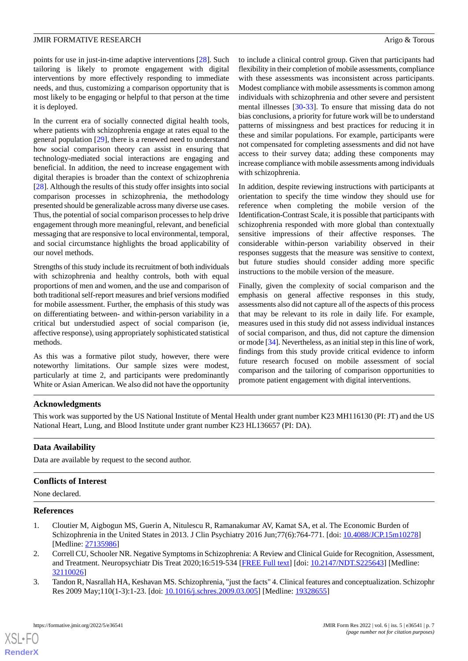points for use in just-in-time adaptive interventions [\[28](#page-8-0)]. Such tailoring is likely to promote engagement with digital interventions by more effectively responding to immediate needs, and thus, customizing a comparison opportunity that is most likely to be engaging or helpful to that person at the time it is deployed.

In the current era of socially connected digital health tools, where patients with schizophrenia engage at rates equal to the general population [\[29](#page-8-1)], there is a renewed need to understand how social comparison theory can assist in ensuring that technology-mediated social interactions are engaging and beneficial. In addition, the need to increase engagement with digital therapies is broader than the context of schizophrenia [[28\]](#page-8-0). Although the results of this study offer insights into social comparison processes in schizophrenia, the methodology presented should be generalizable across many diverse use cases. Thus, the potential of social comparison processes to help drive engagement through more meaningful, relevant, and beneficial messaging that are responsive to local environmental, temporal, and social circumstance highlights the broad applicability of our novel methods.

Strengths of this study include its recruitment of both individuals with schizophrenia and healthy controls, both with equal proportions of men and women, and the use and comparison of both traditional self-report measures and brief versions modified for mobile assessment. Further, the emphasis of this study was on differentiating between- and within-person variability in a critical but understudied aspect of social comparison (ie, affective response), using appropriately sophisticated statistical methods.

As this was a formative pilot study, however, there were noteworthy limitations. Our sample sizes were modest, particularly at time 2, and participants were predominantly White or Asian American. We also did not have the opportunity

to include a clinical control group. Given that participants had flexibility in their completion of mobile assessments, compliance with these assessments was inconsistent across participants. Modest compliance with mobile assessments is common among individuals with schizophrenia and other severe and persistent mental illnesses [[30-](#page-8-2)[33\]](#page-8-3). To ensure that missing data do not bias conclusions, a priority for future work will be to understand patterns of missingness and best practices for reducing it in these and similar populations. For example, participants were not compensated for completing assessments and did not have access to their survey data; adding these components may increase compliance with mobile assessments among individuals with schizophrenia.

In addition, despite reviewing instructions with participants at orientation to specify the time window they should use for reference when completing the mobile version of the Identification-Contrast Scale, it is possible that participants with schizophrenia responded with more global than contextually sensitive impressions of their affective responses. The considerable within-person variability observed in their responses suggests that the measure was sensitive to context, but future studies should consider adding more specific instructions to the mobile version of the measure.

Finally, given the complexity of social comparison and the emphasis on general affective responses in this study, assessments also did not capture all of the aspects of this process that may be relevant to its role in daily life. For example, measures used in this study did not assess individual instances of social comparison, and thus, did not capture the dimension or mode [\[34\]](#page-8-4). Nevertheless, as an initial step in this line of work, findings from this study provide critical evidence to inform future research focused on mobile assessment of social comparison and the tailoring of comparison opportunities to promote patient engagement with digital interventions.

# **Acknowledgments**

This work was supported by the US National Institute of Mental Health under grant number K23 MH116130 (PI: JT) and the US National Heart, Lung, and Blood Institute under grant number K23 HL136657 (PI: DA).

# **Data Availability**

Data are available by request to the second author.

# <span id="page-6-0"></span>**Conflicts of Interest**

<span id="page-6-1"></span>None declared.

## **References**

 $XS$  • FO **[RenderX](http://www.renderx.com/)**

- <span id="page-6-2"></span>1. Cloutier M, Aigbogun MS, Guerin A, Nitulescu R, Ramanakumar AV, Kamat SA, et al. The Economic Burden of Schizophrenia in the United States in 2013. J Clin Psychiatry 2016 Jun;77(6):764-771. [doi: [10.4088/JCP.15m10278](http://dx.doi.org/10.4088/JCP.15m10278)] [Medline: [27135986](http://www.ncbi.nlm.nih.gov/entrez/query.fcgi?cmd=Retrieve&db=PubMed&list_uids=27135986&dopt=Abstract)]
- 2. Correll CU, Schooler NR. Negative Symptoms in Schizophrenia: A Review and Clinical Guide for Recognition, Assessment, and Treatment. Neuropsychiatr Dis Treat 2020;16:519-534 [[FREE Full text](https://dx.doi.org/10.2147/NDT.S225643)] [doi: [10.2147/NDT.S225643](http://dx.doi.org/10.2147/NDT.S225643)] [Medline: [32110026](http://www.ncbi.nlm.nih.gov/entrez/query.fcgi?cmd=Retrieve&db=PubMed&list_uids=32110026&dopt=Abstract)]
- 3. Tandon R, Nasrallah HA, Keshavan MS. Schizophrenia, "just the facts" 4. Clinical features and conceptualization. Schizophr Res 2009 May;110(1-3):1-23. [doi: [10.1016/j.schres.2009.03.005](http://dx.doi.org/10.1016/j.schres.2009.03.005)] [Medline: [19328655\]](http://www.ncbi.nlm.nih.gov/entrez/query.fcgi?cmd=Retrieve&db=PubMed&list_uids=19328655&dopt=Abstract)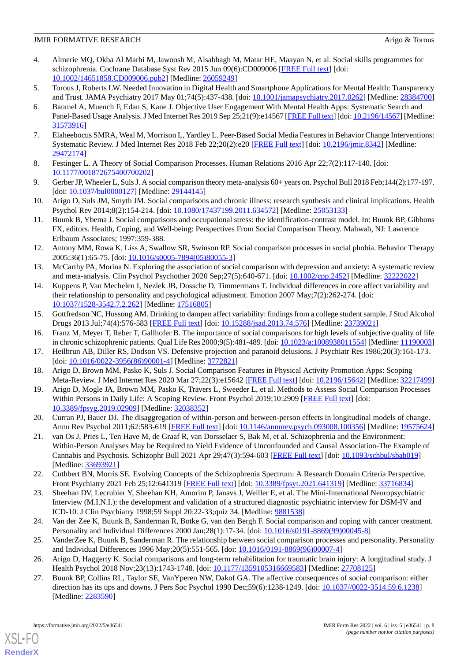- <span id="page-7-0"></span>4. Almerie MQ, Okba Al Marhi M, Jawoosh M, Alsabbagh M, Matar HE, Maayan N, et al. Social skills programmes for schizophrenia. Cochrane Database Syst Rev 2015 Jun 09(6):CD009006 [\[FREE Full text\]](http://europepmc.org/abstract/MED/26059249) [doi: [10.1002/14651858.CD009006.pub2\]](http://dx.doi.org/10.1002/14651858.CD009006.pub2) [Medline: [26059249](http://www.ncbi.nlm.nih.gov/entrez/query.fcgi?cmd=Retrieve&db=PubMed&list_uids=26059249&dopt=Abstract)]
- <span id="page-7-2"></span><span id="page-7-1"></span>5. Torous J, Roberts LW. Needed Innovation in Digital Health and Smartphone Applications for Mental Health: Transparency and Trust. JAMA Psychiatry 2017 May 01;74(5):437-438. [doi: [10.1001/jamapsychiatry.2017.0262](http://dx.doi.org/10.1001/jamapsychiatry.2017.0262)] [Medline: [28384700](http://www.ncbi.nlm.nih.gov/entrez/query.fcgi?cmd=Retrieve&db=PubMed&list_uids=28384700&dopt=Abstract)]
- 6. Baumel A, Muench F, Edan S, Kane J. Objective User Engagement With Mental Health Apps: Systematic Search and Panel-Based Usage Analysis. J Med Internet Res 2019 Sep 25;21(9):e14567 [\[FREE Full text](https://www.jmir.org/2019/9/e14567/)] [doi: [10.2196/14567\]](http://dx.doi.org/10.2196/14567) [Medline: [31573916](http://www.ncbi.nlm.nih.gov/entrez/query.fcgi?cmd=Retrieve&db=PubMed&list_uids=31573916&dopt=Abstract)]
- <span id="page-7-4"></span><span id="page-7-3"></span>7. Elaheebocus SMRA, Weal M, Morrison L, Yardley L. Peer-Based Social Media Features in Behavior Change Interventions: Systematic Review. J Med Internet Res 2018 Feb 22;20(2):e20 [\[FREE Full text\]](https://www.jmir.org/2018/2/e20/) [doi: [10.2196/jmir.8342\]](http://dx.doi.org/10.2196/jmir.8342) [Medline: [29472174](http://www.ncbi.nlm.nih.gov/entrez/query.fcgi?cmd=Retrieve&db=PubMed&list_uids=29472174&dopt=Abstract)]
- <span id="page-7-5"></span>8. Festinger L. A Theory of Social Comparison Processes. Human Relations 2016 Apr 22;7(2):117-140. [doi: [10.1177/001872675400700202\]](http://dx.doi.org/10.1177/001872675400700202)
- <span id="page-7-6"></span>9. Gerber JP, Wheeler L, Suls J. A social comparison theory meta-analysis 60+ years on. Psychol Bull 2018 Feb;144(2):177-197. [doi: [10.1037/bul0000127\]](http://dx.doi.org/10.1037/bul0000127) [Medline: [29144145](http://www.ncbi.nlm.nih.gov/entrez/query.fcgi?cmd=Retrieve&db=PubMed&list_uids=29144145&dopt=Abstract)]
- <span id="page-7-7"></span>10. Arigo D, Suls JM, Smyth JM. Social comparisons and chronic illness: research synthesis and clinical implications. Health Psychol Rev 2014;8(2):154-214. [doi: [10.1080/17437199.2011.634572](http://dx.doi.org/10.1080/17437199.2011.634572)] [Medline: [25053133](http://www.ncbi.nlm.nih.gov/entrez/query.fcgi?cmd=Retrieve&db=PubMed&list_uids=25053133&dopt=Abstract)]
- <span id="page-7-8"></span>11. Buunk B, Ybema J. Social comparisons and occupational stress: the identification-contrast model. In: Buunk BP, Gibbons FX, editors. Health, Coping, and Well-being: Perspectives From Social Comparison Theory. Mahwah, NJ: Lawrence Erlbaum Associates; 1997:359-388.
- <span id="page-7-9"></span>12. Antony MM, Rowa K, Liss A, Swallow SR, Swinson RP. Social comparison processes in social phobia. Behavior Therapy 2005;36(1):65-75. [doi: [10.1016/s0005-7894\(05\)80055-3\]](http://dx.doi.org/10.1016/s0005-7894(05)80055-3)
- <span id="page-7-10"></span>13. McCarthy PA, Morina N. Exploring the association of social comparison with depression and anxiety: A systematic review and meta-analysis. Clin Psychol Psychother 2020 Sep;27(5):640-671. [doi: [10.1002/cpp.2452\]](http://dx.doi.org/10.1002/cpp.2452) [Medline: [32222022\]](http://www.ncbi.nlm.nih.gov/entrez/query.fcgi?cmd=Retrieve&db=PubMed&list_uids=32222022&dopt=Abstract)
- <span id="page-7-11"></span>14. Kuppens P, Van Mechelen I, Nezlek JB, Dossche D, Timmermans T. Individual differences in core affect variability and their relationship to personality and psychological adjustment. Emotion 2007 May;7(2):262-274. [doi: [10.1037/1528-3542.7.2.262\]](http://dx.doi.org/10.1037/1528-3542.7.2.262) [Medline: [17516805](http://www.ncbi.nlm.nih.gov/entrez/query.fcgi?cmd=Retrieve&db=PubMed&list_uids=17516805&dopt=Abstract)]
- <span id="page-7-13"></span><span id="page-7-12"></span>15. Gottfredson NC, Hussong AM. Drinking to dampen affect variability: findings from a college student sample. J Stud Alcohol Drugs 2013 Jul;74(4):576-583 [\[FREE Full text](http://europepmc.org/abstract/MED/23739021)] [doi: [10.15288/jsad.2013.74.576](http://dx.doi.org/10.15288/jsad.2013.74.576)] [Medline: [23739021](http://www.ncbi.nlm.nih.gov/entrez/query.fcgi?cmd=Retrieve&db=PubMed&list_uids=23739021&dopt=Abstract)]
- <span id="page-7-14"></span>16. Franz M, Meyer T, Reber T, Gallhofer B. The importance of social comparisons for high levels of subjective quality of life in chronic schizophrenic patients. Qual Life Res 2000;9(5):481-489. [doi: [10.1023/a:1008938011554](http://dx.doi.org/10.1023/a:1008938011554)] [Medline: [11190003](http://www.ncbi.nlm.nih.gov/entrez/query.fcgi?cmd=Retrieve&db=PubMed&list_uids=11190003&dopt=Abstract)]
- <span id="page-7-15"></span>17. Heilbrun AB, Diller RS, Dodson VS. Defensive projection and paranoid delusions. J Psychiatr Res 1986;20(3):161-173. [doi: [10.1016/0022-3956\(86\)90001-4](http://dx.doi.org/10.1016/0022-3956(86)90001-4)] [Medline: [3772821](http://www.ncbi.nlm.nih.gov/entrez/query.fcgi?cmd=Retrieve&db=PubMed&list_uids=3772821&dopt=Abstract)]
- <span id="page-7-16"></span>18. Arigo D, Brown MM, Pasko K, Suls J. Social Comparison Features in Physical Activity Promotion Apps: Scoping Meta-Review. J Med Internet Res 2020 Mar 27;22(3):e15642 [\[FREE Full text](https://www.jmir.org/2020/3/e15642/)] [doi: [10.2196/15642](http://dx.doi.org/10.2196/15642)] [Medline: [32217499](http://www.ncbi.nlm.nih.gov/entrez/query.fcgi?cmd=Retrieve&db=PubMed&list_uids=32217499&dopt=Abstract)]
- <span id="page-7-17"></span>19. Arigo D, Mogle JA, Brown MM, Pasko K, Travers L, Sweeder L, et al. Methods to Assess Social Comparison Processes Within Persons in Daily Life: A Scoping Review. Front Psychol 2019;10:2909 [\[FREE Full text](https://doi.org/10.3389/fpsyg.2019.02909)] [doi: [10.3389/fpsyg.2019.02909](http://dx.doi.org/10.3389/fpsyg.2019.02909)] [Medline: [32038352\]](http://www.ncbi.nlm.nih.gov/entrez/query.fcgi?cmd=Retrieve&db=PubMed&list_uids=32038352&dopt=Abstract)
- <span id="page-7-18"></span>20. Curran PJ, Bauer DJ. The disaggregation of within-person and between-person effects in longitudinal models of change. Annu Rev Psychol 2011;62:583-619 [[FREE Full text\]](http://europepmc.org/abstract/MED/19575624) [doi: [10.1146/annurev.psych.093008.100356](http://dx.doi.org/10.1146/annurev.psych.093008.100356)] [Medline: [19575624](http://www.ncbi.nlm.nih.gov/entrez/query.fcgi?cmd=Retrieve&db=PubMed&list_uids=19575624&dopt=Abstract)]
- <span id="page-7-19"></span>21. van Os J, Pries L, Ten Have M, de Graaf R, van Dorsselaer S, Bak M, et al. Schizophrenia and the Environment: Within-Person Analyses May be Required to Yield Evidence of Unconfounded and Causal Association-The Example of Cannabis and Psychosis. Schizophr Bull 2021 Apr 29;47(3):594-603 [\[FREE Full text\]](http://europepmc.org/abstract/MED/33693921) [doi: [10.1093/schbul/sbab019](http://dx.doi.org/10.1093/schbul/sbab019)] [Medline: [33693921](http://www.ncbi.nlm.nih.gov/entrez/query.fcgi?cmd=Retrieve&db=PubMed&list_uids=33693921&dopt=Abstract)]
- <span id="page-7-20"></span>22. Cuthbert BN, Morris SE. Evolving Concepts of the Schizophrenia Spectrum: A Research Domain Criteria Perspective. Front Psychiatry 2021 Feb 25;12:641319 [[FREE Full text](https://doi.org/10.3389/fpsyt.2021.641319)] [doi: [10.3389/fpsyt.2021.641319\]](http://dx.doi.org/10.3389/fpsyt.2021.641319) [Medline: [33716834](http://www.ncbi.nlm.nih.gov/entrez/query.fcgi?cmd=Retrieve&db=PubMed&list_uids=33716834&dopt=Abstract)]
- <span id="page-7-22"></span><span id="page-7-21"></span>23. Sheehan DV, Lecrubier Y, Sheehan KH, Amorim P, Janavs J, Weiller E, et al. The Mini-International Neuropsychiatric Interview (M.I.N.I.): the development and validation of a structured diagnostic psychiatric interview for DSM-IV and ICD-10. J Clin Psychiatry 1998;59 Suppl 20:22-33;quiz 34. [Medline: [9881538\]](http://www.ncbi.nlm.nih.gov/entrez/query.fcgi?cmd=Retrieve&db=PubMed&list_uids=9881538&dopt=Abstract)
- <span id="page-7-23"></span>24. Van der Zee K, Buunk B, Sanderman R, Botke G, van den Bergh F. Social comparison and coping with cancer treatment. Personality and Individual Differences 2000 Jan;28(1):17-34. [doi: [10.1016/s0191-8869\(99\)00045-8](http://dx.doi.org/10.1016/s0191-8869(99)00045-8)]
- 25. VanderZee K, Buunk B, Sanderman R. The relationship between social comparison processes and personality. Personality and Individual Differences 1996 May;20(5):551-565. [doi: [10.1016/0191-8869\(96\)00007-4](http://dx.doi.org/10.1016/0191-8869(96)00007-4)]
- 26. Arigo D, Haggerty K. Social comparisons and long-term rehabilitation for traumatic brain injury: A longitudinal study. J Health Psychol 2018 Nov;23(13):1743-1748. [doi: [10.1177/1359105316669583\]](http://dx.doi.org/10.1177/1359105316669583) [Medline: [27708125](http://www.ncbi.nlm.nih.gov/entrez/query.fcgi?cmd=Retrieve&db=PubMed&list_uids=27708125&dopt=Abstract)]
- 27. Buunk BP, Collins RL, Taylor SE, VanYperen NW, Dakof GA. The affective consequences of social comparison: either direction has its ups and downs. J Pers Soc Psychol 1990 Dec;59(6):1238-1249. [doi: [10.1037//0022-3514.59.6.1238\]](http://dx.doi.org/10.1037//0022-3514.59.6.1238) [Medline: [2283590\]](http://www.ncbi.nlm.nih.gov/entrez/query.fcgi?cmd=Retrieve&db=PubMed&list_uids=2283590&dopt=Abstract)

[XSL](http://www.w3.org/Style/XSL)•FO **[RenderX](http://www.renderx.com/)**